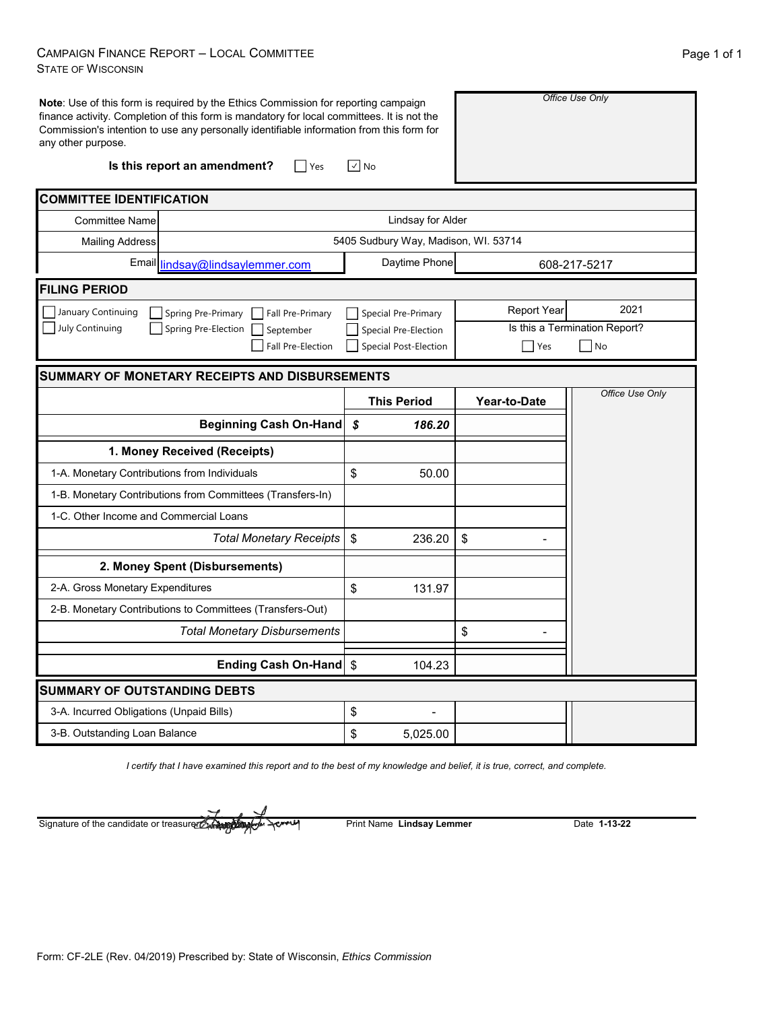## CAMPAIGN FINANCE REPORT – LOCAL COMMITTEE STATE OF WISCONSIN

| <b>Note:</b> Use of this form is required by the Ethics Commission for reporting campaign<br>finance activity. Completion of this form is mandatory for local committees. It is not the<br>Commission's intention to use any personally identifiable information from this form for<br>any other purpose. |                                      |                               | Office Use Only |  |  |
|-----------------------------------------------------------------------------------------------------------------------------------------------------------------------------------------------------------------------------------------------------------------------------------------------------------|--------------------------------------|-------------------------------|-----------------|--|--|
| Is this report an amendment?<br>$ $ Yes                                                                                                                                                                                                                                                                   | $\vee$ No                            |                               |                 |  |  |
| <b>COMMITTEE IDENTIFICATION</b>                                                                                                                                                                                                                                                                           |                                      |                               |                 |  |  |
| <b>Committee Name</b>                                                                                                                                                                                                                                                                                     | Lindsay for Alder                    |                               |                 |  |  |
| <b>Mailing Address</b>                                                                                                                                                                                                                                                                                    | 5405 Sudbury Way, Madison, WI. 53714 |                               |                 |  |  |
| Email lindsay@lindsaylemmer.com                                                                                                                                                                                                                                                                           | Daytime Phone                        | 608-217-5217                  |                 |  |  |
| <b>FILING PERIOD</b>                                                                                                                                                                                                                                                                                      |                                      |                               |                 |  |  |
| January Continuing<br>Spring Pre-Primary   Fall Pre-Primary                                                                                                                                                                                                                                               | Special Pre-Primary                  | <b>Report Year</b>            | 2021            |  |  |
| July Continuing<br>Spring Pre-Election<br>September                                                                                                                                                                                                                                                       | Special Pre-Election                 | Is this a Termination Report? |                 |  |  |
| Fall Pre-Election                                                                                                                                                                                                                                                                                         | Special Post-Election                | Yes                           | $\Box$ No       |  |  |
| <b>SUMMARY OF MONETARY RECEIPTS AND DISBURSEMENTS</b>                                                                                                                                                                                                                                                     |                                      |                               |                 |  |  |
|                                                                                                                                                                                                                                                                                                           | <b>This Period</b>                   | Year-to-Date                  | Office Use Only |  |  |
| <b>Beginning Cash On-Hand</b>                                                                                                                                                                                                                                                                             | \$<br>186.20                         |                               |                 |  |  |
| 1. Money Received (Receipts)                                                                                                                                                                                                                                                                              |                                      |                               |                 |  |  |
| 1-A. Monetary Contributions from Individuals                                                                                                                                                                                                                                                              | \$<br>50.00                          |                               |                 |  |  |
| 1-B. Monetary Contributions from Committees (Transfers-In)                                                                                                                                                                                                                                                |                                      |                               |                 |  |  |
| 1-C. Other Income and Commercial Loans                                                                                                                                                                                                                                                                    |                                      |                               |                 |  |  |
| <b>Total Monetary Receipts</b>                                                                                                                                                                                                                                                                            | $\boldsymbol{\mathsf{S}}$<br>236.20  | \$                            |                 |  |  |
| 2. Money Spent (Disbursements)                                                                                                                                                                                                                                                                            |                                      |                               |                 |  |  |
| 2-A. Gross Monetary Expenditures                                                                                                                                                                                                                                                                          | \$<br>131.97                         |                               |                 |  |  |
| 2-B. Monetary Contributions to Committees (Transfers-Out)                                                                                                                                                                                                                                                 |                                      |                               |                 |  |  |
| <b>Total Monetary Disbursements</b>                                                                                                                                                                                                                                                                       |                                      | \$                            |                 |  |  |
| <b>Ending Cash On-Hand</b>                                                                                                                                                                                                                                                                                | $\boldsymbol{\mathsf{S}}$<br>104.23  |                               |                 |  |  |
| <b>SUMMARY OF OUTSTANDING DEBTS</b>                                                                                                                                                                                                                                                                       |                                      |                               |                 |  |  |
| 3-A. Incurred Obligations (Unpaid Bills)                                                                                                                                                                                                                                                                  | \$                                   |                               |                 |  |  |
| 3-B. Outstanding Loan Balance                                                                                                                                                                                                                                                                             | \$<br>5,025.00                       |                               |                 |  |  |

*I certify that I have examined this report and to the best of my knowledge and belief, it is true, correct, and complete.*

Print Name **Lindsay Lemmer** Date **1-13-22** Signature of the candidate or treasurer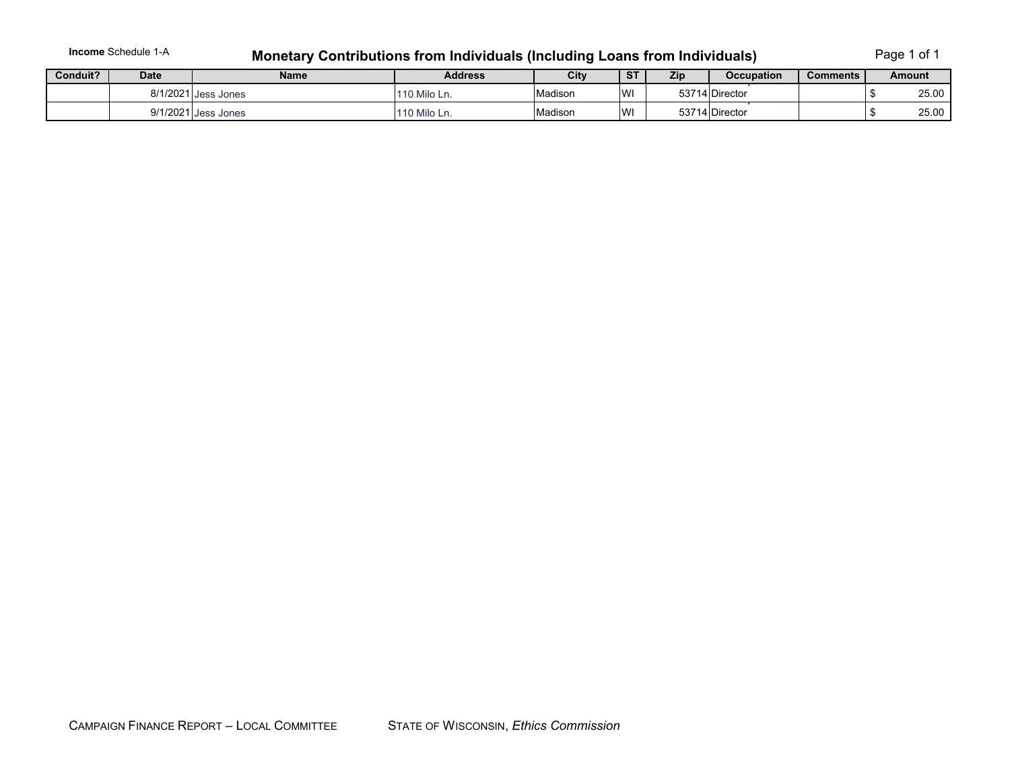**Income** Schedule 1-A

## **Monetary Contributions from Individuals (Including Loans from Individuals)** Page 1 of 1

| Conduit? | Date     | <b>Name</b>       | <b>Address</b> | City    | $\overline{\text{ST}}$ | Zip | <b>Occupation</b>         | Comments | Amount |       |
|----------|----------|-------------------|----------------|---------|------------------------|-----|---------------------------|----------|--------|-------|
|          | 8/1/2021 | <b>Jess Jones</b> | 110 Milo Ln.   | Madison | <b>IWI</b>             |     | 53714 Director<br>------- |          |        | 25.00 |
|          | 9/1/2021 | <b>Jess Jones</b> | 110 Milo Ln.   | Madison | <b>WI</b>              |     | ______<br>53714 Director  |          |        | 25.00 |